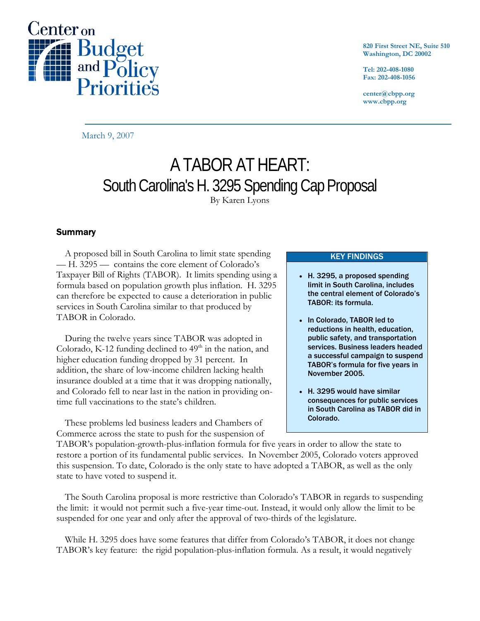

**820 First Street NE, Suite 510 Washington, DC 20002** 

**Tel: 202-408-1080 Fax: 202-408-1056** 

**center@cbpp.org www.cbpp.org** 

March 9, 2007

# A TABOR AT HEART: South Carolina's H. 3295 Spending Cap Proposal By Karen Lyons

# **Summary**

A proposed bill in South Carolina to limit state spending — H. 3295 — contains the core element of Colorado's Taxpayer Bill of Rights (TABOR). It limits spending using a formula based on population growth plus inflation. H. 3295 can therefore be expected to cause a deterioration in public services in South Carolina similar to that produced by TABOR in Colorado.

During the twelve years since TABOR was adopted in Colorado, K-12 funding declined to  $49<sup>th</sup>$  in the nation, and higher education funding dropped by 31 percent. In addition, the share of low-income children lacking health insurance doubled at a time that it was dropping nationally, and Colorado fell to near last in the nation in providing ontime full vaccinations to the state's children.

These problems led business leaders and Chambers of Commerce across the state to push for the suspension of

#### KEY FINDINGS

- H. 3295, a proposed spending limit in South Carolina, includes the central element of Colorado's TABOR: its formula.
- In Colorado, TABOR led to reductions in health, education, public safety, and transportation services. Business leaders headed a successful campaign to suspend TABOR's formula for five years in November 2005.
- H. 3295 would have similar consequences for public services in South Carolina as TABOR did in Colorado.

TABOR's population-growth-plus-inflation formula for five years in order to allow the state to restore a portion of its fundamental public services. In November 2005, Colorado voters approved this suspension. To date, Colorado is the only state to have adopted a TABOR, as well as the only state to have voted to suspend it.

The South Carolina proposal is more restrictive than Colorado's TABOR in regards to suspending the limit: it would not permit such a five-year time-out. Instead, it would only allow the limit to be suspended for one year and only after the approval of two-thirds of the legislature.

While H. 3295 does have some features that differ from Colorado's TABOR, it does not change TABOR's key feature: the rigid population-plus-inflation formula. As a result, it would negatively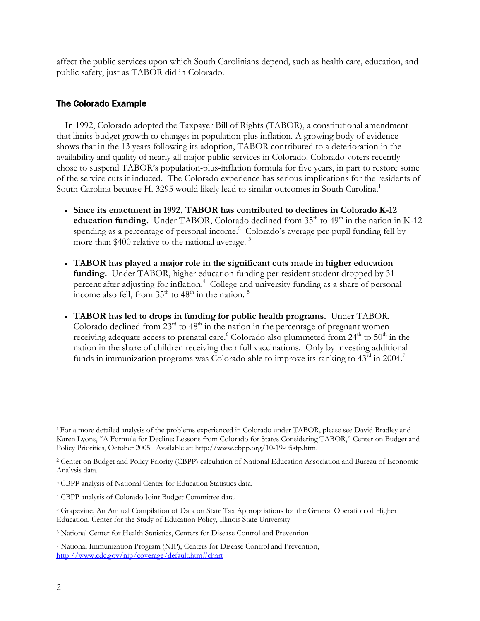affect the public services upon which South Carolinians depend, such as health care, education, and public safety, just as TABOR did in Colorado.

# The Colorado Example

In 1992, Colorado adopted the Taxpayer Bill of Rights (TABOR), a constitutional amendment that limits budget growth to changes in population plus inflation. A growing body of evidence shows that in the 13 years following its adoption, TABOR contributed to a deterioration in the availability and quality of nearly all major public services in Colorado. Colorado voters recently chose to suspend TABOR's population-plus-inflation formula for five years, in part to restore some of the service cuts it induced. The Colorado experience has serious implications for the residents of South Carolina because H. 3295 would likely lead to similar outcomes in South Carolina.<sup>1</sup>

- **Since its enactment in 1992, TABOR has contributed to declines in Colorado K-12 education funding.** Under TABOR, Colorado declined from  $35<sup>th</sup>$  to  $49<sup>th</sup>$  in the nation in K-12 spending as a percentage of personal income.<sup>2</sup> Colorado's average per-pupil funding fell by more than \$400 relative to the national average.  $3$
- **TABOR has played a major role in the significant cuts made in higher education funding.** Under TABOR, higher education funding per resident student dropped by 31 percent after adjusting for inflation.<sup>4</sup> College and university funding as a share of personal income also fell, from  $35<sup>th</sup>$  to  $48<sup>th</sup>$  in the nation.<sup>5</sup>
- **TABOR has led to drops in funding for public health programs.** Under TABOR, Colorado declined from  $23<sup>rd</sup>$  to  $48<sup>th</sup>$  in the nation in the percentage of pregnant women receiving adequate access to prenatal care. Colorado also plummeted from  $24<sup>th</sup>$  to  $50<sup>th</sup>$  in the nation in the share of children receiving their full vaccinations. Only by investing additional funds in immunization programs was Colorado able to improve its ranking to 43rd in 2004.<sup>7</sup>

 $\overline{a}$ 

<sup>&</sup>lt;sup>1</sup> For a more detailed analysis of the problems experienced in Colorado under TABOR, please see David Bradley and Karen Lyons, "A Formula for Decline: Lessons from Colorado for States Considering TABOR," Center on Budget and Policy Priorities, October 2005. Available at: http://www.cbpp.org/10-19-05sfp.htm.

<sup>2</sup> Center on Budget and Policy Priority (CBPP) calculation of National Education Association and Bureau of Economic Analysis data.

<sup>3</sup> CBPP analysis of National Center for Education Statistics data.

<sup>4</sup> CBPP analysis of Colorado Joint Budget Committee data.

<sup>5</sup> Grapevine, An Annual Compilation of Data on State Tax Appropriations for the General Operation of Higher Education. Center for the Study of Education Policy, Illinois State University

<sup>6</sup> National Center for Health Statistics, Centers for Disease Control and Prevention

<sup>7</sup> National Immunization Program (NIP), Centers for Disease Control and Prevention, http://www.cdc.gov/nip/coverage/default.htm#chart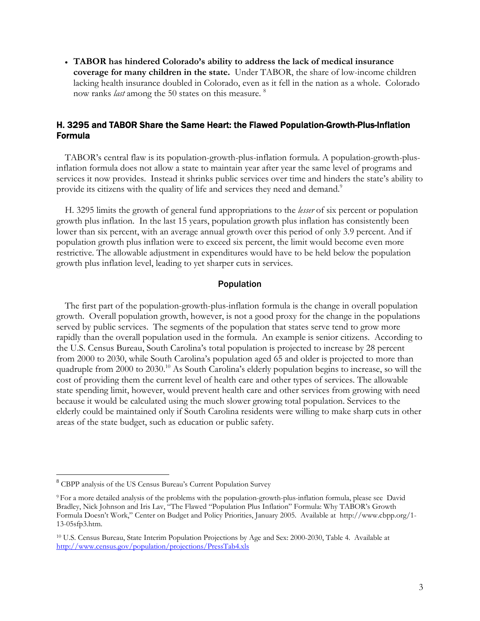• **TABOR has hindered Colorado's ability to address the lack of medical insurance coverage for many children in the state.** Under TABOR, the share of low-income children lacking health insurance doubled in Colorado, even as it fell in the nation as a whole. Colorado now ranks *last* among the 50 states on this measure. 8

# H. 3295 and TABOR Share the Same Heart: the Flawed Population-Growth-Plus-Inflation Formula

TABOR's central flaw is its population-growth-plus-inflation formula. A population-growth-plusinflation formula does not allow a state to maintain year after year the same level of programs and services it now provides. Instead it shrinks public services over time and hinders the state's ability to provide its citizens with the quality of life and services they need and demand.<sup>9</sup>

H. 3295 limits the growth of general fund appropriations to the *lesser* of six percent or population growth plus inflation. In the last 15 years, population growth plus inflation has consistently been lower than six percent, with an average annual growth over this period of only 3.9 percent. And if population growth plus inflation were to exceed six percent, the limit would become even more restrictive. The allowable adjustment in expenditures would have to be held below the population growth plus inflation level, leading to yet sharper cuts in services.

## Population

The first part of the population-growth-plus-inflation formula is the change in overall population growth. Overall population growth, however, is not a good proxy for the change in the populations served by public services. The segments of the population that states serve tend to grow more rapidly than the overall population used in the formula. An example is senior citizens. According to the U.S. Census Bureau, South Carolina's total population is projected to increase by 28 percent from 2000 to 2030, while South Carolina's population aged 65 and older is projected to more than quadruple from 2000 to 2030.<sup>10</sup> As South Carolina's elderly population begins to increase, so will the cost of providing them the current level of health care and other types of services. The allowable state spending limit, however, would prevent health care and other services from growing with need because it would be calculated using the much slower growing total population. Services to the elderly could be maintained only if South Carolina residents were willing to make sharp cuts in other areas of the state budget, such as education or public safety.

 $\overline{a}$ 

<sup>8</sup> CBPP analysis of the US Census Bureau's Current Population Survey

<sup>9</sup> For a more detailed analysis of the problems with the population-growth-plus-inflation formula, please see David Bradley, Nick Johnson and Iris Lav, "The Flawed "Population Plus Inflation" Formula: Why TABOR's Growth Formula Doesn't Work," Center on Budget and Policy Priorities, January 2005. Available at http://www.cbpp.org/1- 13-05sfp3.htm.

<sup>10</sup> U.S. Census Bureau, State Interim Population Projections by Age and Sex: 2000-2030, Table 4. Available at http://www.census.gov/population/projections/PressTab4.xls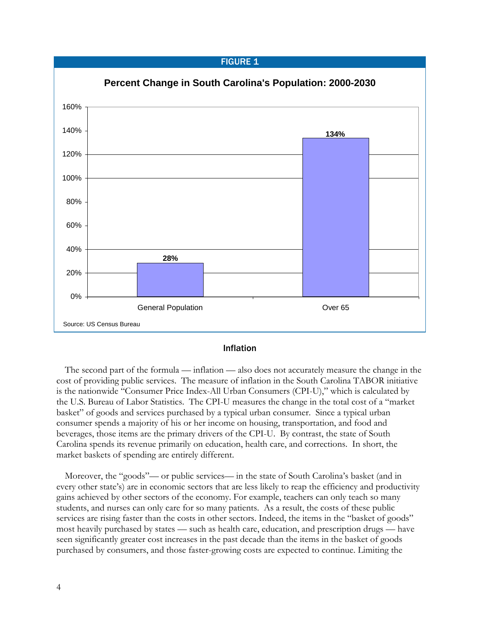## **FIGURE 1**



#### Inflation

The second part of the formula — inflation — also does not accurately measure the change in the cost of providing public services. The measure of inflation in the South Carolina TABOR initiative is the nationwide "Consumer Price Index-All Urban Consumers (CPI-U)," which is calculated by the U.S. Bureau of Labor Statistics. The CPI-U measures the change in the total cost of a "market basket" of goods and services purchased by a typical urban consumer. Since a typical urban consumer spends a majority of his or her income on housing, transportation, and food and beverages, those items are the primary drivers of the CPI-U. By contrast, the state of South Carolina spends its revenue primarily on education, health care, and corrections. In short, the market baskets of spending are entirely different.

Moreover, the "goods"— or public services— in the state of South Carolina's basket (and in every other state's) are in economic sectors that are less likely to reap the efficiency and productivity gains achieved by other sectors of the economy. For example, teachers can only teach so many students, and nurses can only care for so many patients. As a result, the costs of these public services are rising faster than the costs in other sectors. Indeed, the items in the "basket of goods" most heavily purchased by states — such as health care, education, and prescription drugs — have seen significantly greater cost increases in the past decade than the items in the basket of goods purchased by consumers, and those faster-growing costs are expected to continue. Limiting the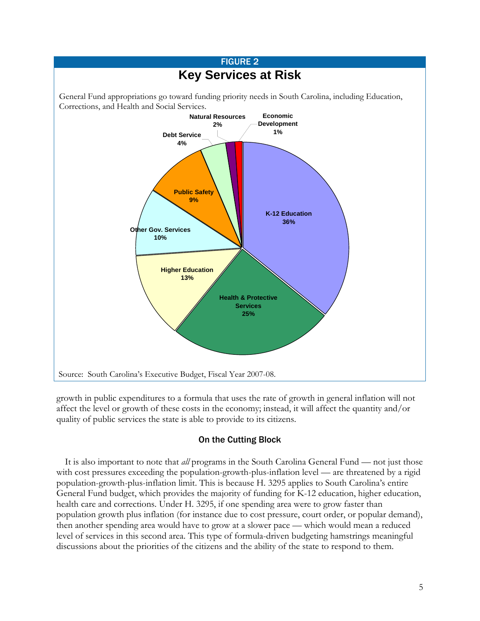

growth in public expenditures to a formula that uses the rate of growth in general inflation will not affect the level or growth of these costs in the economy; instead, it will affect the quantity and/or quality of public services the state is able to provide to its citizens.

# On the Cutting Block

It is also important to note that *all* programs in the South Carolina General Fund — not just those with cost pressures exceeding the population-growth-plus-inflation level — are threatened by a rigid population-growth-plus-inflation limit. This is because H. 3295 applies to South Carolina's entire General Fund budget, which provides the majority of funding for K-12 education, higher education, health care and corrections. Under H. 3295, if one spending area were to grow faster than population growth plus inflation (for instance due to cost pressure, court order, or popular demand), then another spending area would have to grow at a slower pace — which would mean a reduced level of services in this second area. This type of formula-driven budgeting hamstrings meaningful discussions about the priorities of the citizens and the ability of the state to respond to them.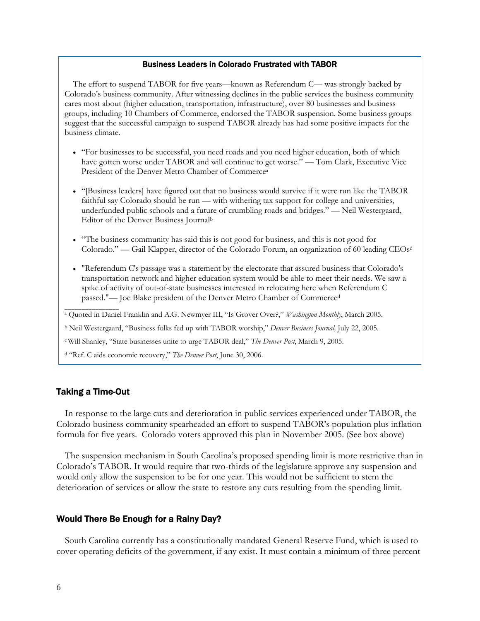## Business Leaders in Colorado Frustrated with TABOR

The effort to suspend TABOR for five years—known as Referendum C— was strongly backed by Colorado's business community. After witnessing declines in the public services the business community cares most about (higher education, transportation, infrastructure), over 80 businesses and business groups, including 10 Chambers of Commerce, endorsed the TABOR suspension. Some business groups suggest that the successful campaign to suspend TABOR already has had some positive impacts for the business climate.

- "For businesses to be successful, you need roads and you need higher education, both of which have gotten worse under TABOR and will continue to get worse." — Tom Clark, Executive Vice President of the Denver Metro Chamber of Commercea
- "[Business leaders] have figured out that no business would survive if it were run like the TABOR faithful say Colorado should be run — with withering tax support for college and universities, underfunded public schools and a future of crumbling roads and bridges." — Neil Westergaard, Editor of the Denver Business Journalb
- "The business community has said this is not good for business, and this is not good for Colorado." — Gail Klapper, director of the Colorado Forum, an organization of 60 leading CEOsc
- "Referendum C's passage was a statement by the electorate that assured business that Colorado's transportation network and higher education system would be able to meet their needs. We saw a spike of activity of out-of-state businesses interested in relocating here when Referendum C passed."— Joe Blake president of the Denver Metro Chamber of Commerced

a Quoted in Daniel Franklin and A.G. Newmyer III, "Is Grover Over?," *Washington Monthly*, March 2005.

b Neil Westergaard, "Business folks fed up with TABOR worship," *Denver Business Journal,* July 22, 2005.

c Will Shanley, "State businesses unite to urge TABOR deal," *The Denver Post*, March 9, 2005.

d "Ref. C aids economic recovery," *The Denver Post*, June 30, 2006.

## Taking a Time-Out

\_\_\_\_\_\_\_\_\_\_\_\_\_\_\_\_

 In response to the large cuts and deterioration in public services experienced under TABOR, the Colorado business community spearheaded an effort to suspend TABOR's population plus inflation formula for five years. Colorado voters approved this plan in November 2005. (See box above)

The suspension mechanism in South Carolina's proposed spending limit is more restrictive than in Colorado's TABOR. It would require that two-thirds of the legislature approve any suspension and would only allow the suspension to be for one year. This would not be sufficient to stem the deterioration of services or allow the state to restore any cuts resulting from the spending limit.

# Would There Be Enough for a Rainy Day?

South Carolina currently has a constitutionally mandated General Reserve Fund, which is used to cover operating deficits of the government, if any exist. It must contain a minimum of three percent